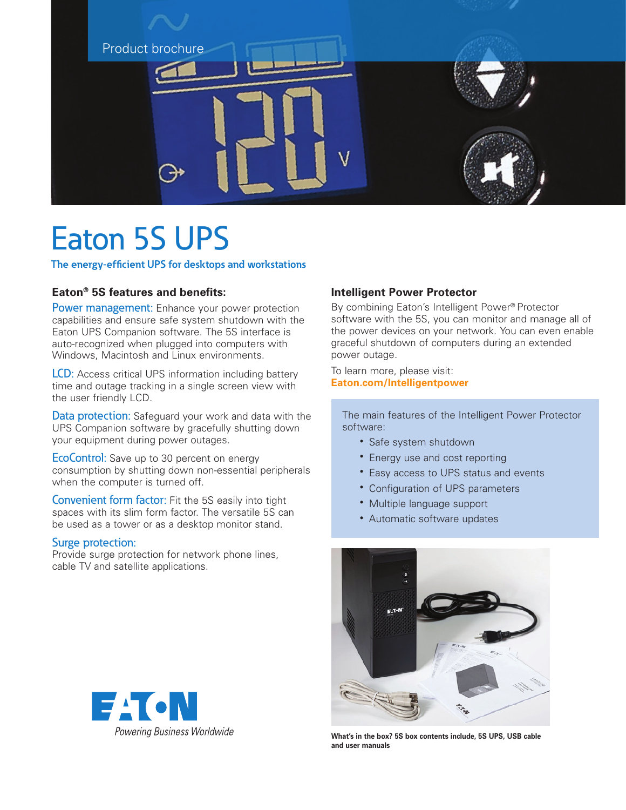

# Eaton 5S UPS

**The energy-efficient UPS for desktops and workstations**

## **Eaton® 5S features and benefits:**

Power management: Enhance your power protection capabilities and ensure safe system shutdown with the Eaton UPS Companion software. The 5S interface is auto-recognized when plugged into computers with Windows, Macintosh and Linux environments.

LCD: Access critical UPS information including battery time and outage tracking in a single screen view with the user friendly LCD.

Data protection: Safeguard your work and data with the UPS Companion software by gracefully shutting down your equipment during power outages.

EcoControl: Save up to 30 percent on energy consumption by shutting down non-essential peripherals when the computer is turned off.

Convenient form factor: Fit the 5S easily into tight spaces with its slim form factor. The versatile 5S can be used as a tower or as a desktop monitor stand.

### Surge protection:

Provide surge protection for network phone lines, cable TV and satellite applications.

## **Intelligent Power Protector**

By combining Eaton's Intelligent Power® Protector software with the 5S, you can monitor and manage all of the power devices on your network. You can even enable graceful shutdown of computers during an extended power outage.

To learn more, please visit: **[Eaton.com/Intelligentpower](http://Eaton.com/Intelligentpower)**

 The main features of the Intelligent Power Protector software:

- Safe system shutdown
- Energy use and cost reporting
- Easy access to UPS status and events
- Configuration of UPS parameters
- Multiple language support
- Automatic software updates



**What's in the box? 5S box contents include, 5S UPS, USB cable and user manuals**